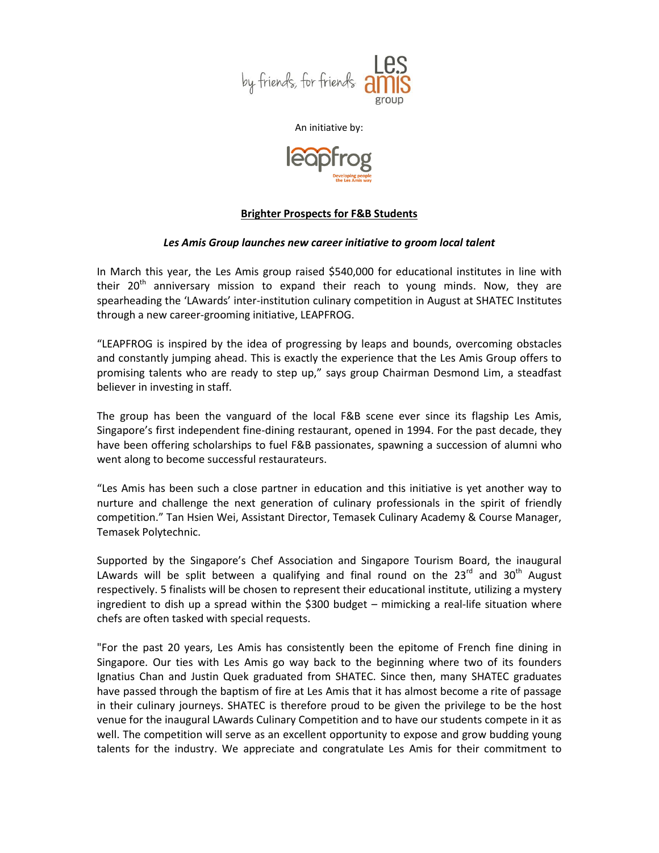

An initiative by:



## **Brighter Prospects for F&B Students**

## *Les Amis Group launches new career initiative to groom local talent*

In March this year, the Les Amis group raised \$540,000 for educational institutes in line with their  $20<sup>th</sup>$  anniversary mission to expand their reach to young minds. Now, they are spearheading the 'LAwards' inter-institution culinary competition in August at SHATEC Institutes through a new career-grooming initiative, LEAPFROG.

"LEAPFROG is inspired by the idea of progressing by leaps and bounds, overcoming obstacles and constantly jumping ahead. This is exactly the experience that the Les Amis Group offers to promising talents who are ready to step up," says group Chairman Desmond Lim, a steadfast believer in investing in staff.

The group has been the vanguard of the local F&B scene ever since its flagship Les Amis, Singapore's first independent fine-dining restaurant, opened in 1994. For the past decade, they have been offering scholarships to fuel F&B passionates, spawning a succession of alumni who went along to become successful restaurateurs.

"Les Amis has been such a close partner in education and this initiative is yet another way to nurture and challenge the next generation of culinary professionals in the spirit of friendly competition." Tan Hsien Wei, Assistant Director, Temasek Culinary Academy & Course Manager, Temasek Polytechnic.

Supported by the Singapore's Chef Association and Singapore Tourism Board, the inaugural LAwards will be split between a qualifying and final round on the  $23<sup>rd</sup>$  and  $30<sup>th</sup>$  August respectively. 5 finalists will be chosen to represent their educational institute, utilizing a mystery ingredient to dish up a spread within the \$300 budget – mimicking a real-life situation where chefs are often tasked with special requests.

"For the past 20 years, Les Amis has consistently been the epitome of French fine dining in Singapore. Our ties with Les Amis go way back to the beginning where two of its founders Ignatius Chan and Justin Quek graduated from SHATEC. Since then, many SHATEC graduates have passed through the baptism of fire at Les Amis that it has almost become a rite of passage in their culinary journeys. SHATEC is therefore proud to be given the privilege to be the host venue for the inaugural LAwards Culinary Competition and to have our students compete in it as well. The competition will serve as an excellent opportunity to expose and grow budding young talents for the industry. We appreciate and congratulate Les Amis for their commitment to